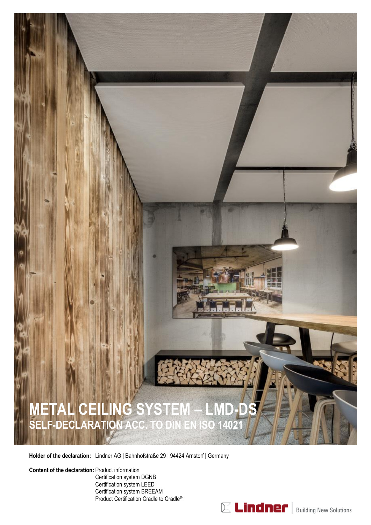

**Holder of the declaration:** Lindner AG | Bahnhofstraße 29 | 94424 Arnstorf | Germany

[Product Certification Cradle to Cradle](#page-8-0)®

**Content of the declaration:** [Product](#page-1-0) information [Certification system DGNB](#page-2-0) [Certification system LEED](#page-4-0) [Certification system BREEAM](#page-6-0)

 $\mathbb E$  Lindner | Building New Solutions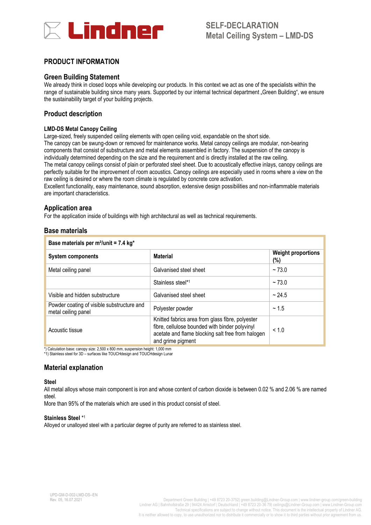

### <span id="page-1-0"></span>**PRODUCT INFORMATION**

#### **Green Building Statement**

We already think in closed loops while developing our products. In this context we act as one of the specialists within the range of sustainable building since many years. Supported by our internal technical department "Green Building", we ensure the sustainability target of your building projects.

### **Product description**

#### **LMD-DS Metal Canopy Ceiling**

Large-sized, freely suspended ceiling elements with open ceiling void, expandable on the short side. The canopy can be swung-down or removed for maintenance works. Metal canopy ceilings are modular, non-bearing components that consist of substructure and metal elements assembled in factory. The suspension of the canopy is individually determined depending on the size and the requirement and is directly installed at the raw ceiling. The metal canopy ceilings consist of plain or perforated steel sheet. Due to acoustically effective inlays, canopy ceilings are perfectly suitable for the improvement of room acoustics. Canopy ceilings are especially used in rooms where a view on the raw ceiling is desired or where the room climate is regulated by concrete core activation.

Excellent functionality, easy maintenance, sound absorption, extensive design possibilities and non-inflammable materials are important characteristics.

#### **Application area**

For the application inside of buildings with high architectural as well as technical requirements.

#### **Base materials**

| Base materials per m <sup>2</sup> /unit = 7.4 kg <sup>*</sup>     |                                                                                                                                                                              |                                  |  |
|-------------------------------------------------------------------|------------------------------------------------------------------------------------------------------------------------------------------------------------------------------|----------------------------------|--|
| <b>Material</b><br><b>System components</b>                       |                                                                                                                                                                              | <b>Weight proportions</b><br>(%) |  |
| Metal ceiling panel                                               | Galvanised steel sheet                                                                                                                                                       | ~173.0                           |  |
|                                                                   | Stainless steel*1                                                                                                                                                            | ~173.0                           |  |
| Visible and hidden substructure                                   | Galvanised steel sheet                                                                                                                                                       | ~24.5                            |  |
| Powder coating of visible substructure and<br>metal ceiling panel | Polyester powder                                                                                                                                                             | ~1.5                             |  |
| Acoustic tissue                                                   | Knitted fabrics area from glass fibre, polyester<br>fibre, cellulose bounded with binder polyvinyl<br>acetate and flame blocking salt free from halogen<br>and grime pigment | < 1.0                            |  |

\*) Calculation base: canopy size: 2,500 x 800 mm, suspension height: 1,000 mm \*1) Stainless steel for 3D – surfaces like TOUCHdesign and TOUCHdesign Lunar

### **Material explanation**

#### **Steel**

All metal alloys whose main component is iron and whose content of carbon dioxide is between 0.02 % and 2.06 % are named steel.

More than 95% of the materials which are used in this product consist of steel.

#### **Stainless Steel** \* 1

Alloyed or unalloyed steel with a particular degree of purity are referred to as stainless steel.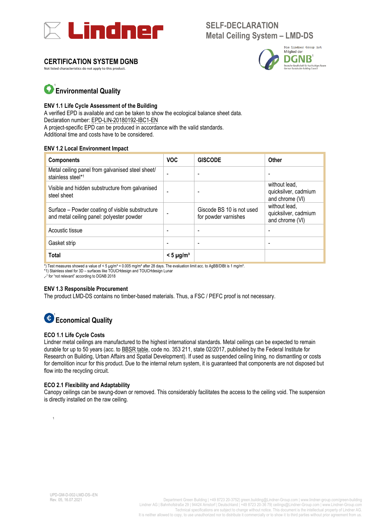<span id="page-2-0"></span>

### **CERTIFICATION SYSTEM DGNB**

Not listed characteristics do not apply to this product.



# **Environmental Quality** 1

#### **ENV 1.1 Life Cycle Assessment of the Building**

A verified EPD is available and can be taken to show the ecological balance sheet data. Declaration number: [EPD-LIN-20180192-IBC1-EN](https://epd-online.com/EmbeddedEpdList/Download/11139) A project-specific EPD can be produced in accordance with the valid standards. Additional time and costs have to be considered.

#### **ENV 1.2 Local Environment Impact**

| <b>Components</b>                                                                             | <b>VOC</b>              | <b>GISCODE</b>                                    | Other                                                    |
|-----------------------------------------------------------------------------------------------|-------------------------|---------------------------------------------------|----------------------------------------------------------|
| Metal ceiling panel from galvanised steel sheet/<br>stainless steel*1                         |                         | ۰                                                 |                                                          |
| Visible and hidden substructure from galvanised<br>steel sheet                                |                         |                                                   | without lead,<br>quicksilver, cadmium<br>and chrome (VI) |
| Surface – Powder coating of visible substructure<br>and metal ceiling panel: polyester powder |                         | Giscode BS 10 is not used<br>for powder varnishes | without lead.<br>quicksilver, cadmium<br>and chrome (VI) |
| Acoustic tissue                                                                               |                         | -                                                 | $\overline{\phantom{a}}$                                 |
| Gasket strip                                                                                  |                         |                                                   |                                                          |
| Total                                                                                         | $<$ 5 µg/m <sup>3</sup> |                                                   |                                                          |

 $*$ ) Test measures showed a value of < 5  $\mu$ g/m<sup>3</sup> = 0.005 mg/m<sup>3</sup> after 28 days. The evaluation limit acc. to AgBB/DIBt is 1 mg/m<sup>3</sup>.

\*1) Stainless steel for 3D – surfaces like TOUCHdesign and TOUCHdesign Lunar

"-" for "not relevant" according to DGNB 2018

#### **ENV 1.3 Responsible Procurement**

The product LMD-DS contains no timber-based materials. Thus, a FSC / PEFC proof is not necessary.

# **Economical Quality**

#### **ECO 1.1 Life Cycle Costs**

Lindner metal ceilings are manufactured to the highest international standards. Metal ceilings can be expected to remain durable for up to 50 years (acc. to [BBSR table,](https://www.nachhaltigesbauen.de/fileadmin/pdf/baustoff_gebauededaten/BNB_Nutzungsdauern_von_Bauteilen_2017-02-24.pdf) code no. 353 211, state 02/2017, published by the Federal Institute for Research on Building, Urban Affairs and Spatial Development). If used as suspended ceiling lining, no dismantling or costs for demolition incur for this product. Due to the internal return system, it is guaranteed that components are not disposed but flow into the recycling circuit.

#### **ECO 2.1 Flexibility and Adaptability**

Canopy ceilings can be swung-down or removed. This considerably facilitates the access to the ceiling void. The suspension is directly installed on the raw ceiling.

1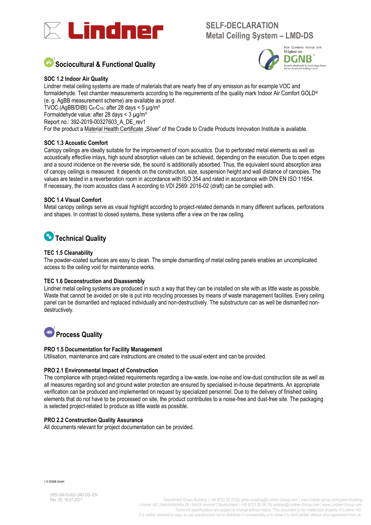

# **<u>,</u><br>Sociocultural & Functional Quality**



#### **SOC 1.2 Indoor Air Quality**

Lindner metal ceiling systems are made of materials that are nearly free of any emission as for example VOC and formaldehyde. Test chamber measurements according to the requirements of the quality mark Indoor Air Comfort GOLD® (e. g. AgBB measurement scheme) are available as proof. TVOC (AgBB/DIBt)  $C_6$ - $C_{16}$ : after 28 days < 5  $\mu$ g/m<sup>3</sup> Formaldehyde value: after 28 days  $\lt$  3 µg/m<sup>3</sup> Report no.: 392-2019-00327603\_A\_DE\_rev1 For the product [a Material Health Certificate](https://s3.amazonaws.com/c2c-website/Certifications/Lindner_Group_KG/LMD_Metal_Ceiling/Lindn_LMD_M_Silve_MHC3187_2017-07-19.pdf) "Silver" of the Cradle to Cradle Products Innovation Institute is available.

#### **SOC 1.3 Acoustic Comfort**

Canopy ceilings are ideally suitable for the improvement of room acoustics. Due to perforated metal elements as well as acoustically effective inlays, high sound absorption values can be achieved, depending on the execution. Due to open edges and a sound incidence on the reverse side, the sound is additionally absorbed. Thus, the equivalent sound absorption area of canopy ceilings is measured. It depends on the construction, size, suspension height and wall distance of canopies. The values are tested in a reverberation room in accordance with ISO 354 and rated in accordance with DIN EN ISO 11654. If necessary, the room acoustics class A according to VDI 2569: 2016-02 (draft) can be complied with.

#### **SOC 1.4 Visual Comfort**

Metal canopy ceilings serve as visual highlight according to project-related demands in many different surfaces, perforations and shapes. In contrast to closed systems, these systems offer a view on the raw ceiling.

# **Technical Quality** 1

#### **TEC 1.5 Cleanability**

The powder-coated surfaces are easy to clean. The simple dismantling of metal ceiling panels enables an uncomplicated access to the ceiling void for maintenance works.

#### **TEC 1.6 Deconstruction and Disassembly**

Lindner metal ceiling systems are produced in such a way that they can be installed on site with as little waste as possible. Waste that cannot be avoided on site is put into recycling processes by means of waste management facilities. Every ceiling panel can be dismantled and replaced individually and non-destructively. The substructure can as well be dismantled nondestructively.

# **Process Quality** 1

#### **PRO 1.5 Documentation for Facility Management**

Utilisation, maintenance and care instructions are created to the usual extent and can be provided.

#### **PRO 2.1 Environmental Impact of Construction**

The compliance with project-related requirements regarding a low-waste, low-noise and low-dust construction site as well as all measures regarding soil and ground water protection are ensured by specialised in-house departments. An appropriate verification can be produced and implemented on request by specialized personnel. Due to the delivery of finished ceiling elements that do not have to be processed on site, the product contributes to a noise-free and dust-free site. The packaging is selected project-related to produce as little waste as possible.

#### **PRO 2.2 Construction Quality Assurance**

All documents relevant for project documentation can be provided.

1 © DGNB GmbH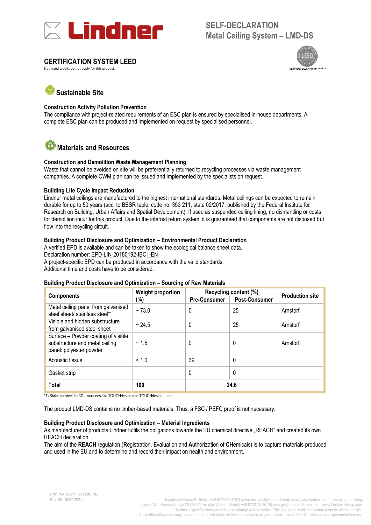<span id="page-4-0"></span>

### **CERTIFICATION SYSTEM LEED**

Not listed credits do not apply for this product.



# **Sustainable Site**

#### **Construction Activity Pollution Prevention**

The compliance with project-related requirements of an ESC plan is ensured by specialised in-house departments. A complete ESC plan can be produced and implemented on request by specialised personnel.

#### ( ≛\* **Materials and Resources**

#### **Construction and Demolition Waste Management Planning**

Waste that cannot be avoided on site will be preferentially returned to recycling processes via waste management companies. A complete CWM plan can be issued and implemented by the specialists on request.

#### **Building Life Cycle Impact Reduction**

Lindner metal ceilings are manufactured to the highest international standards. Metal ceilings can be expected to remain durable for up to 50 years (acc. to [BBSR table,](https://www.nachhaltigesbauen.de/fileadmin/pdf/baustoff_gebauededaten/BNB_Nutzungsdauern_von_Bauteilen_2017-02-24.pdf) code no. 353 211, state 02/2017, published by the Federal Institute for Research on Building, Urban Affairs and Spatial Development). If used as suspended ceiling lining, no dismantling or costs for demolition incur for this product. Due to the internal return system, it is guaranteed that components are not disposed but flow into the recycling circuit.

#### **Building Product Disclosure and Optimization – Environmental Product Declaration**

A verified EPD is available and can be taken to show the ecological balance sheet data. Declaration number: [EPD-LIN-20180192-IBC1-EN](https://epd-online.com/EmbeddedEpdList/Download/11139) A project-specific EPD can be produced in accordance with the valid standards. Additional time and costs have to be considered.

#### **Building Product Disclosure and Optimization – Sourcing of Raw Materials**

| <b>Components</b>                                                                                | <b>Weight proportion</b><br>(%) | Recycling content (%) |                      | <b>Production site</b> |
|--------------------------------------------------------------------------------------------------|---------------------------------|-----------------------|----------------------|------------------------|
|                                                                                                  |                                 | <b>Pre-Consumer</b>   | <b>Post-Consumer</b> |                        |
| Metal ceiling panel from galvanised<br>steel sheet/ stainless steel*1                            | ~173.0                          | 0                     | 25                   | Arnstorf               |
| Visible and hidden substructure<br>from galvanised steel sheet                                   | ~24.5                           | 0                     | 25                   | Arnstorf               |
| Surface - Powder coating of visible<br>substructure and metal ceiling<br>panel: polyester powder | ~1.5                            | 0                     | 0                    | Arnstorf               |
| Acoustic tissue                                                                                  | < 1.0                           | 39                    | 0                    |                        |
| Gasket strip                                                                                     |                                 | 0                     | 0                    |                        |
| <b>Total</b>                                                                                     | 100                             |                       | 24.6                 |                        |

\*1) Stainless steel for 3D – surfaces like TOUCHdesign and TOUCHdesign Lunar

The product LMD-DS contains no timber-based materials. Thus, a FSC / PEFC proof is not necessary.

#### **Building Product Disclosure and Optimization – Material Ingredients**

As manufacturer of products Lindner fulfils the obligations towards the EU chemical directive "REACH" and created its own REACH declaration.

The aim of the **REACH** regulation (**R**egistration, **E**valuation and **A**uthorization of **CH**emicals) is to capture materials produced and used in the EU and to determine and record their impact on health and environment.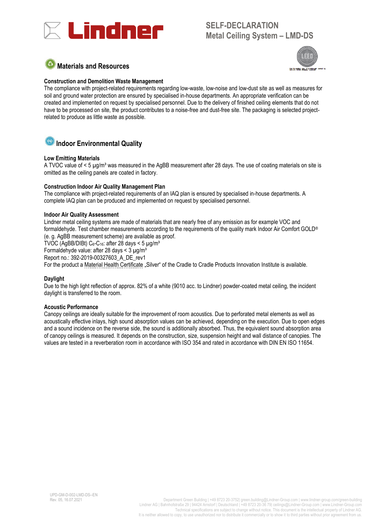

# **Materials and Resources**



### **Construction and Demolition Waste Management**

The compliance with project-related requirements regarding low-waste, low-noise and low-dust site as well as measures for soil and ground water protection are ensured by specialised in-house departments. An appropriate verification can be created and implemented on request by specialised personnel. Due to the delivery of finished ceiling elements that do not have to be processed on site, the product contributes to a noise-free and dust-free site. The packaging is selected projectrelated to produce as little waste as possible.

# **Indoor Environmental Quality**

### **Low Emitting Materials**

A TVOC value of < 5 µg/m<sup>3</sup> was measured in the AgBB measurement after 28 days. The use of coating materials on site is omitted as the ceiling panels are coated in factory.

#### **Construction Indoor Air Quality Management Plan**

The compliance with project-related requirements of an IAQ plan is ensured by specialised in-house departments. A complete IAQ plan can be produced and implemented on request by specialised personnel.

#### **Indoor Air Quality Assessment**

Lindner metal ceiling systems are made of materials that are nearly free of any emission as for example VOC and formaldehyde. Test chamber measurements according to the requirements of the quality mark Indoor Air Comfort GOLD® (e. g. AgBB measurement scheme) are available as proof.

TVOC (AgBB/DIBt)  $C_6-C_{16}$ ; after 28 days < 5  $\mu$ g/m<sup>3</sup>

Formaldehyde value: after 28 days  $\leq$  3  $\mu$ g/m<sup>3</sup>

Report no.: 392-2019-00327603\_A\_DE\_rev1

For the product [a Material Health Certificate](https://s3.amazonaws.com/c2c-website/Certifications/Lindner_Group_KG/LMD_Metal_Ceiling/Lindn_LMD_M_Silve_MHC3187_2017-07-19.pdf) "Silver" of the Cradle to Cradle Products Innovation Institute is available.

#### **Daylight**

Due to the high light reflection of approx. 82% of a white (9010 acc. to Lindner) powder-coated metal ceiling, the incident daylight is transferred to the room.

#### **Acoustic Performance**

Canopy ceilings are ideally suitable for the improvement of room acoustics. Due to perforated metal elements as well as acoustically effective inlays, high sound absorption values can be achieved, depending on the execution. Due to open edges and a sound incidence on the reverse side, the sound is additionally absorbed. Thus, the equivalent sound absorption area of canopy ceilings is measured. It depends on the construction, size, suspension height and wall distance of canopies. The values are tested in a reverberation room in accordance with ISO 354 and rated in accordance with DIN EN ISO 11654.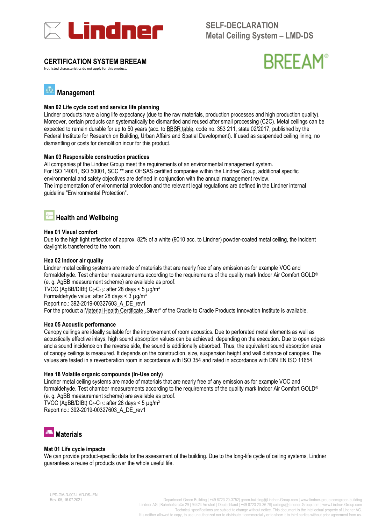<span id="page-6-0"></span>

### **CERTIFICATION SYSTEM BREEAM**

Not listed characteristics do not apply for this product.



#### лĨа **Management**

#### **Man 02 Life cycle cost and service life planning**

Lindner products have a long life expectancy (due to the raw materials, production processes and high production quality). Moreover, certain products can systematically be dismantled and reused after small processing (C2C). Metal ceilings can be expected to remain durable for up to 50 years (acc. to [BBSR table,](https://www.nachhaltigesbauen.de/fileadmin/pdf/baustoff_gebauededaten/BNB_Nutzungsdauern_von_Bauteilen_2017-02-24.pdf) code no. 353 211, state 02/2017, published by the Federal Institute for Research on Building, Urban Affairs and Spatial Development). If used as suspended ceiling lining, no dismantling or costs for demolition incur for this product.

#### **Man 03 Responsible construction practices**

All companies pf the Lindner Group meet the requirements of an environmental management system. For ISO 14001, ISO 50001, SCC \*\* and OHSAS certified companies within the Lindner Group, additional specific environmental and safety objectives are defined in conjunction with the annual management review. The implementation of environmental protection and the relevant legal regulations are defined in the Lindner internal guideline "Environmental Protection".

## **Health and Wellbeing**

#### **Hea 01 Visual comfort**

Due to the high light reflection of approx. 82% of a white (9010 acc. to Lindner) powder-coated metal ceiling, the incident daylight is transferred to the room.

#### **Hea 02 Indoor air quality**

Lindner metal ceiling systems are made of materials that are nearly free of any emission as for example VOC and formaldehyde. Test chamber measurements according to the requirements of the quality mark Indoor Air Comfort GOLD® (e. g. AgBB measurement scheme) are available as proof.

TVOC (AgBB/DIBt)  $C_6$ - $C_{16}$ : after 28 days < 5  $\mu$ g/m<sup>3</sup>

Formaldehyde value: after 28 days  $<$  3  $\mu$ g/m<sup>3</sup>

Report no.: 392-2019-00327603\_A\_DE\_rev1

For the product [a Material Health Certificate](https://s3.amazonaws.com/c2c-website/Certifications/Lindner_Group_KG/LMD_Metal_Ceiling/Lindn_LMD_M_Silve_MHC3187_2017-07-19.pdf) "Silver" of the Cradle to Cradle Products Innovation Institute is available.

#### **Hea 05 Acoustic performance**

Canopy ceilings are ideally suitable for the improvement of room acoustics. Due to perforated metal elements as well as acoustically effective inlays, high sound absorption values can be achieved, depending on the execution. Due to open edges and a sound incidence on the reverse side, the sound is additionally absorbed. Thus, the equivalent sound absorption area of canopy ceilings is measured. It depends on the construction, size, suspension height and wall distance of canopies. The values are tested in a reverberation room in accordance with ISO 354 and rated in accordance with DIN EN ISO 11654.

#### **Hea 18 Volatile organic compounds (In-Use only)**

Lindner metal ceiling systems are made of materials that are nearly free of any emission as for example VOC and formaldehyde. Test chamber measurements according to the requirements of the quality mark Indoor Air Comfort GOLD® (e. g. AgBB measurement scheme) are available as proof.

TVOC (AgBB/DIBt)  $C_6$ -C<sub>16</sub>: after 28 days < 5  $\mu$ g/m<sup>3</sup> Report no.: 392-2019-00327603\_A\_DE\_rev1



#### **Mat 01 Life cycle impacts**

We can provide product-specific data for the assessment of the building. Due to the long-life cycle of ceiling systems, Lindner guarantees a reuse of products over the whole useful life.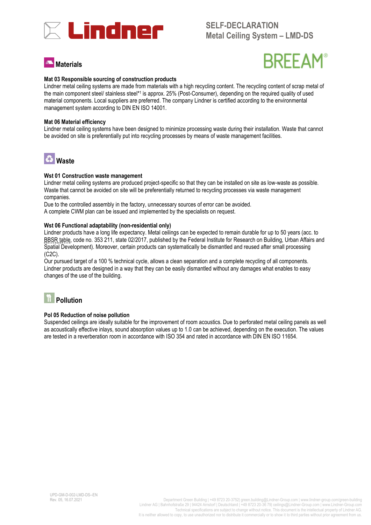

# **Materials**



#### **Mat 03 Responsible sourcing of construction products**

Lindner metal ceiling systems are made from materials with a high recycling content. The recycling content of scrap metal of the main component steel/ stainless steel\*1 is approx. 25% (Post-Consumer), depending on the required quality of used material components. Local suppliers are preferred. The company Lindner is certified according to the environmental management system according to DIN EN ISO 14001.

#### **Mat 06 Material efficiency**

Lindner metal ceiling systems have been designed to minimize processing waste during their installation. Waste that cannot be avoided on site is preferentially put into recycling processes by means of waste management facilities.



#### **Wst 01 Construction waste management**

Lindner metal ceiling systems are produced project-specific so that they can be installed on site as low-waste as possible. Waste that cannot be avoided on site will be preferentially returned to recycling processes via waste management companies.

Due to the controlled assembly in the factory, unnecessary sources of error can be avoided.

A complete CWM plan can be issued and implemented by the specialists on request.

#### **Wst 06 Functional adaptability (non-residential only)**

Lindner products have a long life expectancy. Metal ceilings can be expected to remain durable for up to 50 years (acc. to [BBSR table,](https://www.nachhaltigesbauen.de/fileadmin/pdf/baustoff_gebauededaten/BNB_Nutzungsdauern_von_Bauteilen_2017-02-24.pdf) code no. 353 211, state 02/2017, published by the Federal Institute for Research on Building, Urban Affairs and Spatial Development). Moreover, certain products can systematically be dismantled and reused after small processing (C2C).

Our pursued target of a 100 % technical cycle, allows a clean separation and a complete recycling of all components. Lindner products are designed in a way that they can be easily dismantled without any damages what enables to easy changes of the use of the building.



#### **Pol 05 Reduction of noise pollution**

Suspended ceilings are ideally suitable for the improvement of room acoustics. Due to perforated metal ceiling panels as well as acoustically effective inlays, sound absorption values up to 1.0 can be achieved, depending on the execution. The values are tested in a reverberation room in accordance with ISO 354 and rated in accordance with DIN EN ISO 11654.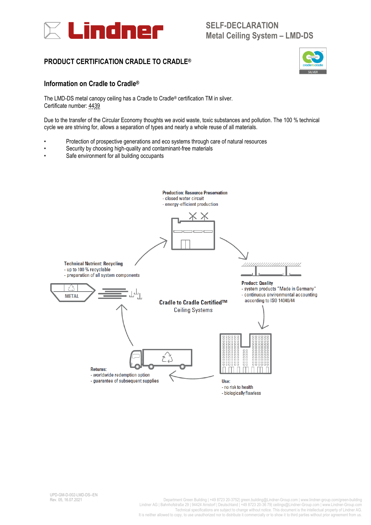<span id="page-8-0"></span>

## **PRODUCT CERTIFICATION CRADLE TO CRADLE®**



### **Information on Cradle to Cradle®**

The LMD-DS metal canopy ceiling has a Cradle to Cradle® certification TM in silver. Certificate number: [4439](https://cdn.c2ccertified.org/Certifications/Lindner_Group_KG/LMD_Metal_Ceiling/Lindn_LMD_M_Silve_CERT4439_2020-06-09.pdf)

Due to the transfer of the Circular Economy thoughts we avoid waste, toxic substances and pollution. The 100 % technical cycle we are striving for, allows a separation of types and nearly a whole reuse of all materials.

- Protection of prospective generations and eco systems through care of natural resources
- Security by choosing high-quality and contaminant-free materials
- Safe environment for all building occupants